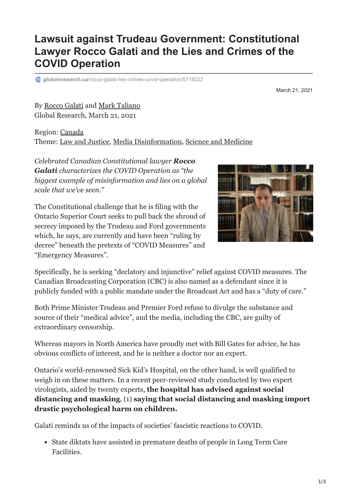## **Lawsuit against Trudeau Government: Constitutional Lawyer Rocco Galati and the Lies and Crimes of the COVID Operation**

**globalresearch.ca[/rocco-galati-lies-crimes-covid-operation/5719222](https://www.globalresearch.ca/rocco-galati-lies-crimes-covid-operation/5719222)** 

March 21, 2021

By [Rocco Galati](https://www.globalresearch.ca/author/rocco-galati) and [Mark Taliano](https://www.globalresearch.ca/author/mark-taliano) Global Research, March 21, 2021

Region: [Canada](https://www.globalresearch.ca/region/canada) Theme: [Law and Justice,](https://www.globalresearch.ca/theme/law-and-justice) [Media Disinformation](https://www.globalresearch.ca/theme/media-disinformation), [Science and Medicine](https://www.globalresearch.ca/theme/science-and-medicine)

*Celebrated Canadian Constitutional lawyer Rocco Galati characterizes the COVID Operation as "the biggest example of misinformation and lies on a global scale that we've seen."*

The Constitutional challenge that he is filing with the Ontario Superior Court seeks to pull back the shroud of secrecy imposed by the Trudeau and Ford governments which, he says, are currently and have been "ruling by decree" beneath the pretexts of "COVID Measures" and "Emergency Measures".



Specifically, he is seeking "declatory and injunctive" relief against COVID measures. The Canadian Broadcasting Corporation (CBC) is also named as a defendant since it is publicly funded with a public mandate under the Broadcast Act and has a "duty of care."

Both Prime Minister Trudeau and Premier Ford refuse to divulge the substance and source of their "medical advice", and the media, including the CBC, are guilty of extraordinary censorship.

Whereas mayors in North America have proudly met with Bill Gates for advice, he has obvious conflicts of interest, and he is neither a doctor nor an expert.

Ontario's world-renowned Sick Kid's Hospital, on the other hand, is well qualified to weigh in on these matters. In a recent peer-reviewed study conducted by two expert virologists, aided by twenty experts, **the hospital has advised against social distancing and masking**, (1) **saying that social distancing and masking import drastic psychological harm on children.**

Galati reminds us of the impacts of societies' fascistic reactions to COVID.

State diktats have assisted in premature deaths of people in Long Term Care Facilities.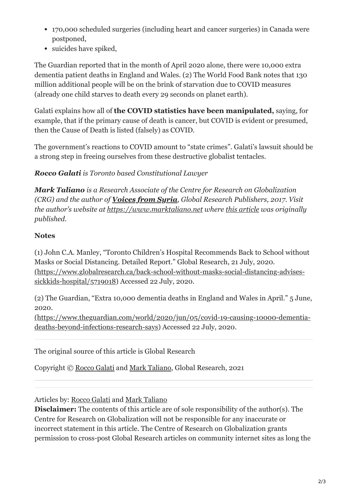- 170,000 scheduled surgeries (including heart and cancer surgeries) in Canada were postponed,
- suicides have spiked,

The Guardian reported that in the month of April 2020 alone, there were 10,000 extra dementia patient deaths in England and Wales. (2) The World Food Bank notes that 130 million additional people will be on the brink of starvation due to COVID measures (already one child starves to death every 29 seconds on planet earth).

Galati explains how all of **the COVID statistics have been manipulated,** saying, for example, that if the primary cause of death is cancer, but COVID is evident or presumed, then the Cause of Death is listed (falsely) as COVID.

The government's reactions to COVID amount to "state crimes". Galati's lawsuit should be a strong step in freeing ourselves from these destructive globalist tentacles.

## *Rocco Galati is Toronto based Constitutional Lawyer*

*Mark Taliano is a Research Associate of the Centre for Research on Globalization (CRG) and the author of [Voices from Syria](https://www.marktaliano.net/covid-19-and-fake-news/), Global Research Publishers, 2017. Visit the author's website at [https://www.marktaliano.net](https://www.marktaliano.net/) where [this article](https://www.marktaliano.net/rocco-galati-and-the-lies-and-crimes-of-the-covid-operation/) was originally published.*

## **Notes**

(1) John C.A. Manley, "Toronto Children's Hospital Recommends Back to School without Masks or Social Distancing. Detailed Report." Global Research, 21 July, 2020. [\(https://www.globalresearch.ca/back-school-without-masks-social-distancing-advises](https://www.globalresearch.ca/back-school-without-masks-social-distancing-advises-sickkids-hospital/5719018)sickkids-hospital/5719018) Accessed 22 July, 2020.

(2) The Guardian, "Extra 10,000 dementia deaths in England and Wales in April." 5 June, 2020.

[\(https://www.theguardian.com/world/2020/jun/05/covid-19-causing-10000-dementia](https://www.theguardian.com/world/2020/jun/05/covid-19-causing-10000-dementia-deaths-beyond-infections-research-says)deaths-beyond-infections-research-says) Accessed 22 July, 2020.

The original source of this article is Global Research

Copyright © [Rocco Galati](https://www.globalresearch.ca/author/rocco-galati) and [Mark Taliano](https://www.globalresearch.ca/author/mark-taliano), Global Research, 2021

## Articles by: [Rocco Galati](https://www.globalresearch.ca/author/rocco-galati) and [Mark Taliano](https://www.globalresearch.ca/author/mark-taliano)

**Disclaimer:** The contents of this article are of sole responsibility of the author(s). The Centre for Research on Globalization will not be responsible for any inaccurate or incorrect statement in this article. The Centre of Research on Globalization grants permission to cross-post Global Research articles on community internet sites as long the